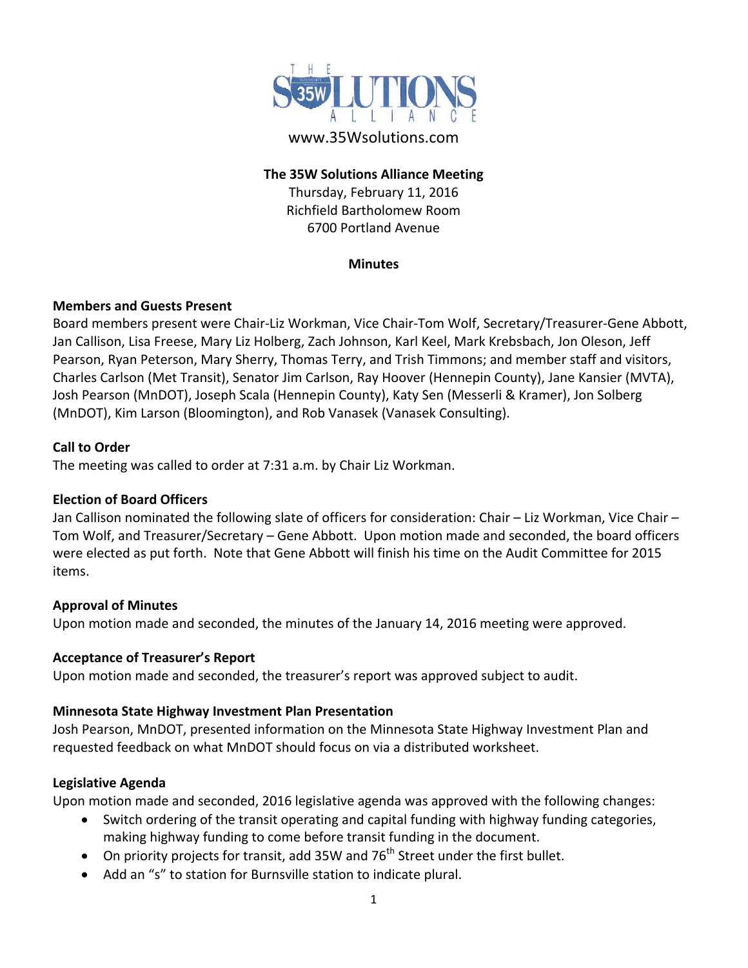

# www.35Wsolutions.com

### **The 35W Solutions Alliance Meeting**

Thursday, February 11, 2016 Richfield Bartholomew Room 6700 Portland Avenue

#### **Minutes**

### **Members and Guests Present**

Board members present were Chair‐Liz Workman, Vice Chair‐Tom Wolf, Secretary/Treasurer‐Gene Abbott, Jan Callison, Lisa Freese, Mary Liz Holberg, Zach Johnson, Karl Keel, Mark Krebsbach, Jon Oleson, Jeff Pearson, Ryan Peterson, Mary Sherry, Thomas Terry, and Trish Timmons; and member staff and visitors, Charles Carlson (Met Transit), Senator Jim Carlson, Ray Hoover (Hennepin County), Jane Kansier (MVTA), Josh Pearson (MnDOT), Joseph Scala (Hennepin County), Katy Sen (Messerli & Kramer), Jon Solberg (MnDOT), Kim Larson (Bloomington), and Rob Vanasek (Vanasek Consulting).

### **Call to Order**

The meeting was called to order at 7:31 a.m. by Chair Liz Workman.

### **Election of Board Officers**

Jan Callison nominated the following slate of officers for consideration: Chair – Liz Workman, Vice Chair – Tom Wolf, and Treasurer/Secretary – Gene Abbott. Upon motion made and seconded, the board officers were elected as put forth. Note that Gene Abbott will finish his time on the Audit Committee for 2015 items.

#### **Approval of Minutes**

Upon motion made and seconded, the minutes of the January 14, 2016 meeting were approved.

#### **Acceptance of Treasurer's Report**

Upon motion made and seconded, the treasurer's report was approved subject to audit.

#### **Minnesota State Highway Investment Plan Presentation**

Josh Pearson, MnDOT, presented information on the Minnesota State Highway Investment Plan and requested feedback on what MnDOT should focus on via a distributed worksheet.

### **Legislative Agenda**

Upon motion made and seconded, 2016 legislative agenda was approved with the following changes:

- Switch ordering of the transit operating and capital funding with highway funding categories, making highway funding to come before transit funding in the document.
- $\bullet$  On priority projects for transit, add 35W and 76<sup>th</sup> Street under the first bullet.
- Add an "s" to station for Burnsville station to indicate plural.